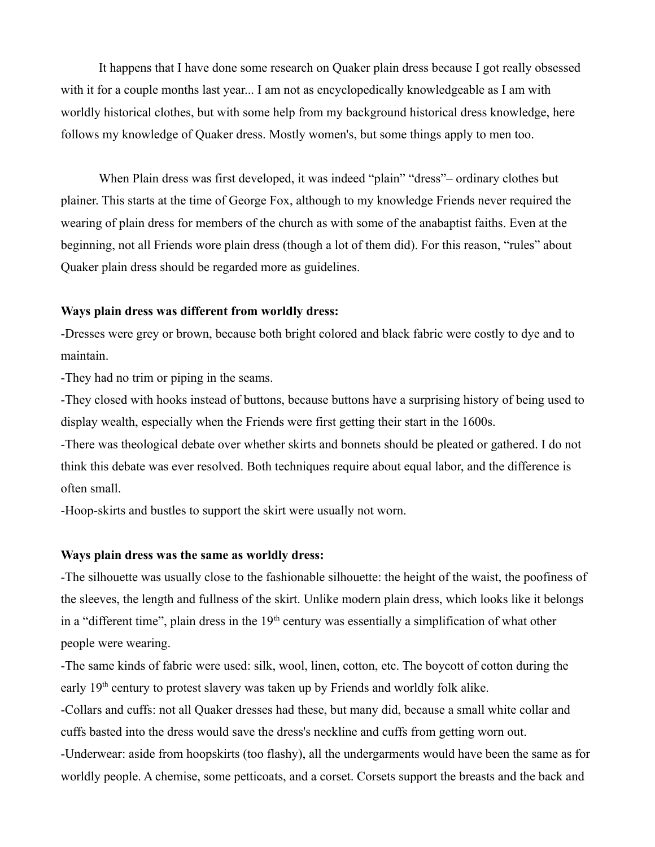It happens that I have done some research on Quaker plain dress because I got really obsessed with it for a couple months last year... I am not as encyclopedically knowledgeable as I am with worldly historical clothes, but with some help from my background historical dress knowledge, here follows my knowledge of Quaker dress. Mostly women's, but some things apply to men too.

When Plain dress was first developed, it was indeed "plain" "dress"– ordinary clothes but plainer. This starts at the time of George Fox, although to my knowledge Friends never required the wearing of plain dress for members of the church as with some of the anabaptist faiths. Even at the beginning, not all Friends wore plain dress (though a lot of them did). For this reason, "rules" about Quaker plain dress should be regarded more as guidelines.

## **Ways plain dress was different from worldly dress:**

-Dresses were grey or brown, because both bright colored and black fabric were costly to dye and to maintain.

-They had no trim or piping in the seams.

-They closed with hooks instead of buttons, because buttons have a surprising history of being used to display wealth, especially when the Friends were first getting their start in the 1600s.

-There was theological debate over whether skirts and bonnets should be pleated or gathered. I do not think this debate was ever resolved. Both techniques require about equal labor, and the difference is often small.

-Hoop-skirts and bustles to support the skirt were usually not worn.

## **Ways plain dress was the same as worldly dress:**

-The silhouette was usually close to the fashionable silhouette: the height of the waist, the poofiness of the sleeves, the length and fullness of the skirt. Unlike modern plain dress, which looks like it belongs in a "different time", plain dress in the  $19<sup>th</sup>$  century was essentially a simplification of what other people were wearing.

-The same kinds of fabric were used: silk, wool, linen, cotton, etc. The boycott of cotton during the early 19<sup>th</sup> century to protest slavery was taken up by Friends and worldly folk alike.

-Collars and cuffs: not all Quaker dresses had these, but many did, because a small white collar and cuffs basted into the dress would save the dress's neckline and cuffs from getting worn out. -Underwear: aside from hoopskirts (too flashy), all the undergarments would have been the same as for

worldly people. A chemise, some petticoats, and a corset. Corsets support the breasts and the back and